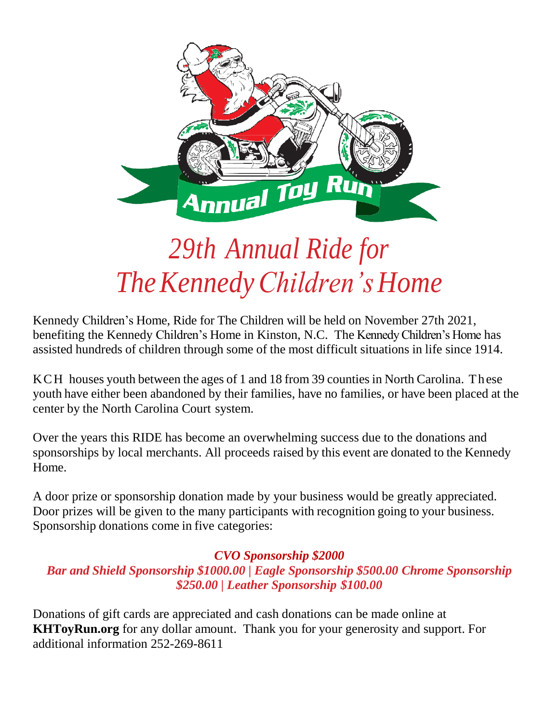

## *29th Annual Ride for TheKennedyChildren's Home*

Kennedy Children's Home, Ride for The Children will be held on November 27th 2021, benefiting the Kennedy Children's Home in Kinston, N.C. The Kennedy Children's Home has assisted hundreds of children through some of the most difficult situations in life since 1914.

KCH houses youth between the ages of 1 and 18 from 39 counties in North Carolina. These youth have either been abandoned by their families, have no families, or have been placed at the center by the North Carolina Court system.

Over the years this RIDE has become an overwhelming success due to the donations and sponsorships by local merchants. All proceeds raised by this event are donated to the Kennedy Home.

A door prize or sponsorship donation made by your business would be greatly appreciated. Door prizes will be given to the many participants with recognition going to your business. Sponsorship donations come in five categories:

#### *CVO Sponsorship \$2000*

#### *Bar and Shield Sponsorship \$1000.00 | Eagle Sponsorship \$500.00 Chrome Sponsorship \$250.00 | Leather Sponsorship \$100.00*

Donations of gift cards are appreciated and cash donations can be made online at **KHToyRun.org** for any dollar amount. Thank you for your generosity and support. For additional information 252-269-8611